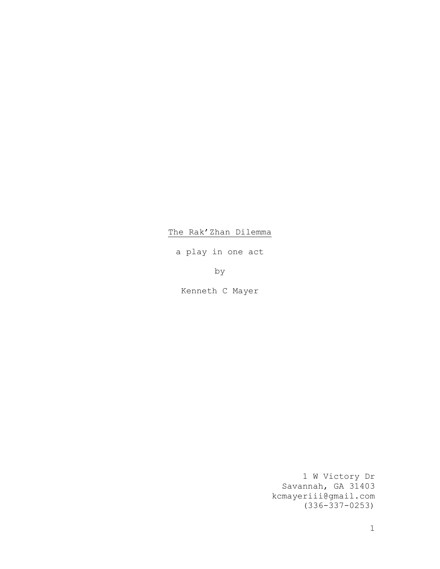# The Rak'Zhan Dilemma

a play in one act

by

Kenneth C Mayer

1 W Victory Dr Savannah, GA 31403 kcmayeriii@gmail.com (336-337-0253)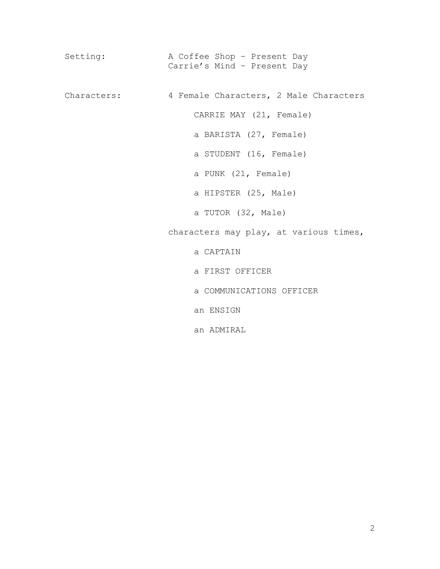Setting: A Coffee Shop - Present Day Carrie's Mind – Present Day Characters: 4 Female Characters, 2 Male Characters CARRIE MAY (21, Female) a BARISTA (27, Female) a STUDENT (16, Female) a PUNK (21, Female) a HIPSTER (25, Male) a TUTOR (32, Male) characters may play, at various times, a CAPTAIN a FIRST OFFICER a COMMUNICATIONS OFFICER an ENSIGN an ADMIRAL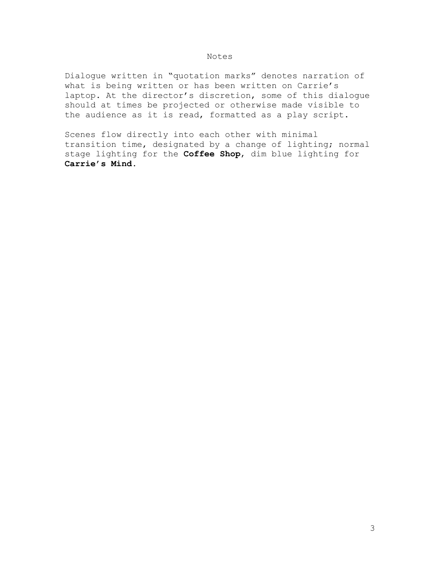## Notes

Dialogue written in "quotation marks" denotes narration of what is being written or has been written on Carrie's laptop. At the director's discretion, some of this dialogue should at times be projected or otherwise made visible to the audience as it is read, formatted as a play script.

Scenes flow directly into each other with minimal transition time, designated by a change of lighting; normal stage lighting for the **Coffee Shop**, dim blue lighting for **Carrie's Mind**.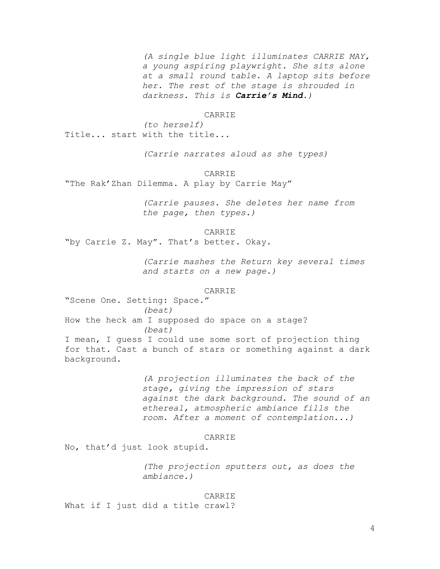*(A single blue light illuminates CARRIE MAY, a young aspiring playwright. She sits alone at a small round table. A laptop sits before her. The rest of the stage is shrouded in darkness. This is Carrie's Mind.)*

### CARRIE

*(to herself)* Title... start with the title...

*(Carrie narrates aloud as she types)*

CARRIE

"The Rak'Zhan Dilemma. A play by Carrie May"

*(Carrie pauses. She deletes her name from the page, then types.)*

## CARRIE

"by Carrie Z. May". That's better. Okay.

*(Carrie mashes the Return key several times and starts on a new page.)*

## **CARRIE**

"Scene One. Setting: Space." *(beat)* How the heck am I supposed do space on a stage? *(beat)* I mean, I guess I could use some sort of projection thing for that. Cast a bunch of stars or something against a dark background.

> *(A projection illuminates the back of the stage, giving the impression of stars against the dark background. The sound of an ethereal, atmospheric ambiance fills the room. After a moment of contemplation...)*

#### CARRIE

No, that'd just look stupid.

*(The projection sputters out, as does the ambiance.)*

#### CARRIE

What if I just did a title crawl?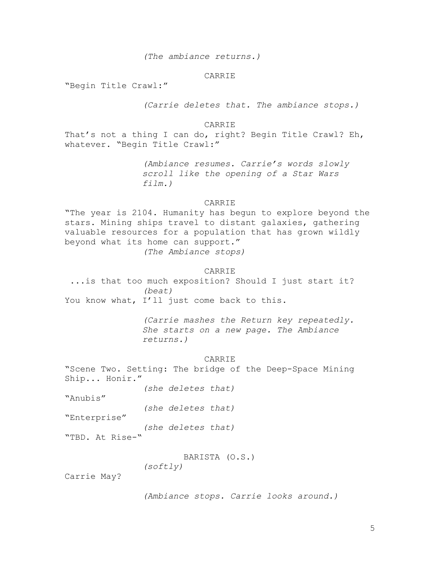*(The ambiance returns.)*

## CARRIE

"Begin Title Crawl:"

*(Carrie deletes that. The ambiance stops.)*

#### CARRIE

That's not a thing I can do, right? Begin Title Crawl? Eh, whatever. "Begin Title Crawl:"

> *(Ambiance resumes. Carrie's words slowly scroll like the opening of a Star Wars film.)*

# CARRIE

"The year is 2104. Humanity has begun to explore beyond the stars. Mining ships travel to distant galaxies, gathering valuable resources for a population that has grown wildly beyond what its home can support." *(The Ambiance stops)*

### CARRIE

...is that too much exposition? Should I just start it? *(beat)* You know what, I'll just come back to this.

> *(Carrie mashes the Return key repeatedly. She starts on a new page. The Ambiance returns.)*

> > **CARRIE**

"Scene Two. Setting: The bridge of the Deep-Space Mining Ship... Honir."

*(she deletes that)*

"Anubis"

*(she deletes that)*

"Enterprise"

*(she deletes that)*

"TBD. At Rise-"

BARISTA (O.S.)

*(softly)*

Carrie May?

*(Ambiance stops. Carrie looks around.)*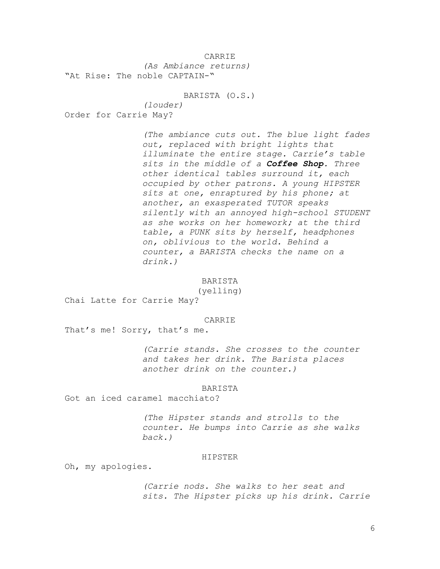CARRIE *(As Ambiance returns)* "At Rise: The noble CAPTAIN-"

BARISTA (O.S.)

*(louder)* Order for Carrie May?

> *(The ambiance cuts out. The blue light fades out, replaced with bright lights that illuminate the entire stage. Carrie's table sits in the middle of a Coffee Shop. Three other identical tables surround it, each occupied by other patrons. A young HIPSTER sits at one, enraptured by his phone; at another, an exasperated TUTOR speaks silently with an annoyed high-school STUDENT as she works on her homework; at the third table, a PUNK sits by herself, headphones on, oblivious to the world. Behind a counter, a BARISTA checks the name on a drink.)*

> > BARISTA

(yelling)

Chai Latte for Carrie May?

CARRIE

That's me! Sorry, that's me.

*(Carrie stands. She crosses to the counter and takes her drink. The Barista places another drink on the counter.)*

#### BARISTA

Got an iced caramel macchiato?

*(The Hipster stands and strolls to the counter. He bumps into Carrie as she walks back.)*

#### HIPSTER

Oh, my apologies.

*(Carrie nods. She walks to her seat and sits. The Hipster picks up his drink. Carrie*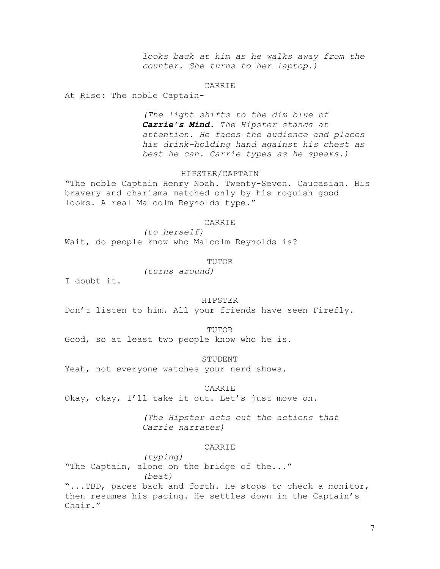*looks back at him as he walks away from the counter. She turns to her laptop.)*

#### CARRIE

At Rise: The noble Captain-

*(The light shifts to the dim blue of Carrie's Mind. The Hipster stands at attention. He faces the audience and places his drink-holding hand against his chest as best he can. Carrie types as he speaks.)*

# HIPSTER/CAPTAIN

"The noble Captain Henry Noah. Twenty-Seven. Caucasian. His bravery and charisma matched only by his roguish good looks. A real Malcolm Reynolds type."

#### CARRIE

*(to herself)* Wait, do people know who Malcolm Reynolds is?

## TUTOR

*(turns around)*

I doubt it.

## HIPSTER

Don't listen to him. All your friends have seen Firefly.

TUTOR

Good, so at least two people know who he is.

STUDENT

Yeah, not everyone watches your nerd shows.

CARRIE

Okay, okay, I'll take it out. Let's just move on.

*(The Hipster acts out the actions that Carrie narrates)*

## CARRIE

*(typing)* "The Captain, alone on the bridge of the..." *(beat)* "...TBD, paces back and forth. He stops to check a monitor, then resumes his pacing. He settles down in the Captain's Chair."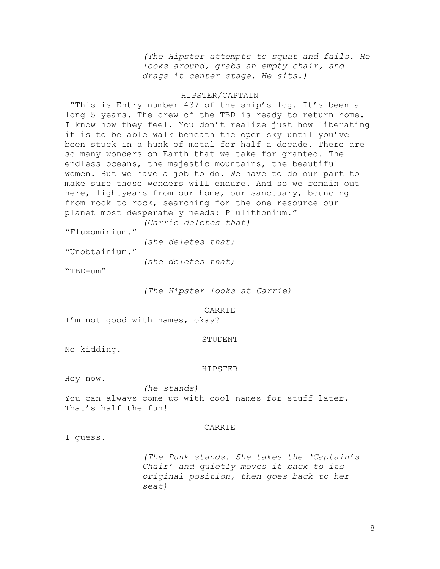*(The Hipster attempts to squat and fails. He looks around, grabs an empty chair, and drags it center stage. He sits.)*

## HIPSTER/CAPTAIN

"This is Entry number 437 of the ship's log. It's been a long 5 years. The crew of the TBD is ready to return home. I know how they feel. You don't realize just how liberating it is to be able walk beneath the open sky until you've been stuck in a hunk of metal for half a decade. There are so many wonders on Earth that we take for granted. The endless oceans, the majestic mountains, the beautiful women. But we have a job to do. We have to do our part to make sure those wonders will endure. And so we remain out here, lightyears from our home, our sanctuary, bouncing from rock to rock, searching for the one resource our planet most desperately needs: Plulithonium."

*(Carrie deletes that)*

"Fluxominium."

*(she deletes that)*

"Unobtainium."

*(she deletes that)*

"TBD-um"

*(The Hipster looks at Carrie)*

CARRIE

I'm not good with names, okay?

### STUDENT

No kidding.

#### HIPSTER

Hey now.

*(he stands)* You can always come up with cool names for stuff later. That's half the fun!

## CARRIE

I guess.

*(The Punk stands. She takes the 'Captain's Chair' and quietly moves it back to its original position, then goes back to her seat)*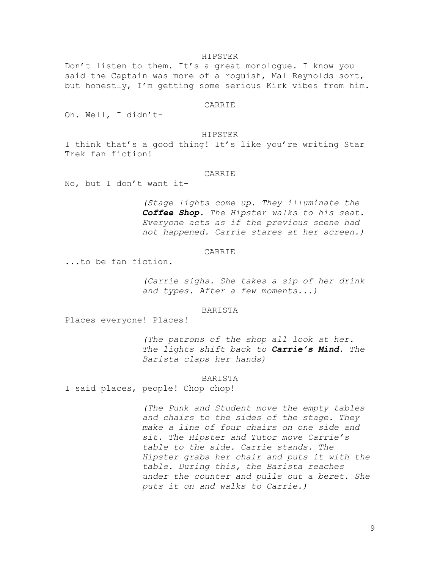#### HIPSTER

Don't listen to them. It's a great monologue. I know you said the Captain was more of a roguish, Mal Reynolds sort, but honestly, I'm getting some serious Kirk vibes from him.

### CARRIE

Oh. Well, I didn't-

#### HIPSTER

I think that's a good thing! It's like you're writing Star Trek fan fiction!

### CARRIE

No, but I don't want it-

*(Stage lights come up. They illuminate the Coffee Shop. The Hipster walks to his seat. Everyone acts as if the previous scene had not happened. Carrie stares at her screen.)*

#### CARRIE

...to be fan fiction.

*(Carrie sighs. She takes a sip of her drink and types. After a few moments...)*

## BARISTA

Places everyone! Places!

*(The patrons of the shop all look at her. The lights shift back to Carrie's Mind. The Barista claps her hands)*

## BARISTA

I said places, people! Chop chop!

*(The Punk and Student move the empty tables and chairs to the sides of the stage. They make a line of four chairs on one side and sit. The Hipster and Tutor move Carrie's table to the side. Carrie stands. The Hipster grabs her chair and puts it with the table. During this, the Barista reaches under the counter and pulls out a beret. She puts it on and walks to Carrie.)*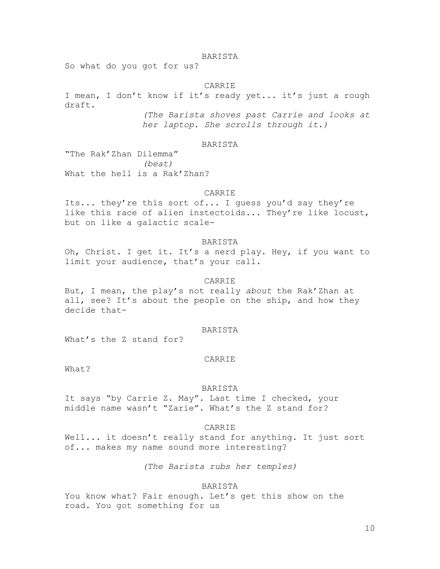## BARISTA

So what do you got for us?

#### CARRIE

I mean, I don't know if it's ready yet... it's just a rough draft.

*(The Barista shoves past Carrie and looks at her laptop. She scrolls through it.)*

# BARISTA

"The Rak'Zhan Dilemma" *(beat)* What the hell is a Rak'Zhan?

## CARRIE

Its... they're this sort of... I guess you'd say they're like this race of alien instectoids... They're like locust, but on like a galactic scale-

## BARISTA

Oh, Christ. I get it. It's a nerd play. Hey, if you want to limit your audience, that's your call.

## CARRIE

But, I mean, the play's not really *about* the Rak'Zhan at all, see? It's about the people on the ship, and how they decide that-

#### BARISTA

What's the Z stand for?

### CARRIE

What?

#### BARISTA

It says "by Carrie Z. May". Last time I checked, your middle name wasn't "Zarie". What's the Z stand for?

# **CARRIE**

Well... it doesn't really stand for anything. It just sort of... makes my name sound more interesting?

*(The Barista rubs her temples)*

## BARISTA

You know what? Fair enough. Let's get this show on the road. You got something for us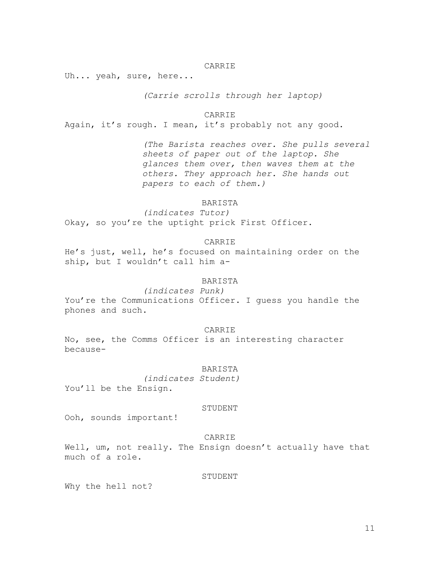## CARRIE

Uh... yeah, sure, here...

*(Carrie scrolls through her laptop)*

CARRIE

Again, it's rough. I mean, it's probably not any good.

*(The Barista reaches over. She pulls several sheets of paper out of the laptop. She glances them over, then waves them at the others. They approach her. She hands out papers to each of them.)*

## BARISTA

*(indicates Tutor)* Okay, so you're the uptight prick First Officer.

## CARRIE

He's just, well, he's focused on maintaining order on the ship, but I wouldn't call him a-

# BARISTA

*(indicates Punk)* You're the Communications Officer. I quess you handle the phones and such.

CARRIE

No, see, the Comms Officer is an interesting character because-

#### BARISTA

*(indicates Student)*

You'll be the Ensign.

## STUDENT

Ooh, sounds important!

CARRIE

Well, um, not really. The Ensign doesn't actually have that much of a role.

STUDENT

Why the hell not?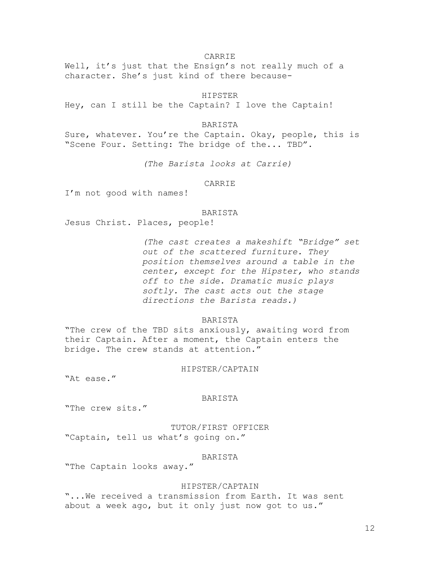# CARRIE

Well, it's just that the Ensign's not really much of a character. She's just kind of there because-

## HIPSTER

Hey, can I still be the Captain? I love the Captain!

### BARISTA

Sure, whatever. You're the Captain. Okay, people, this is "Scene Four. Setting: The bridge of the... TBD".

*(The Barista looks at Carrie)*

#### CARRIE

I'm not good with names!

## BARISTA

Jesus Christ. Places, people!

*(The cast creates a makeshift "Bridge" set out of the scattered furniture. They position themselves around a table in the center, except for the Hipster, who stands off to the side. Dramatic music plays softly. The cast acts out the stage directions the Barista reads.)*

# BARISTA

"The crew of the TBD sits anxiously, awaiting word from their Captain. After a moment, the Captain enters the bridge. The crew stands at attention."

## HIPSTER/CAPTAIN

"At ease."

## BARISTA

"The crew sits."

TUTOR/FIRST OFFICER "Captain, tell us what's going on."

#### BARISTA

"The Captain looks away."

# HIPSTER/CAPTAIN

"...We received a transmission from Earth. It was sent about a week ago, but it only just now got to us."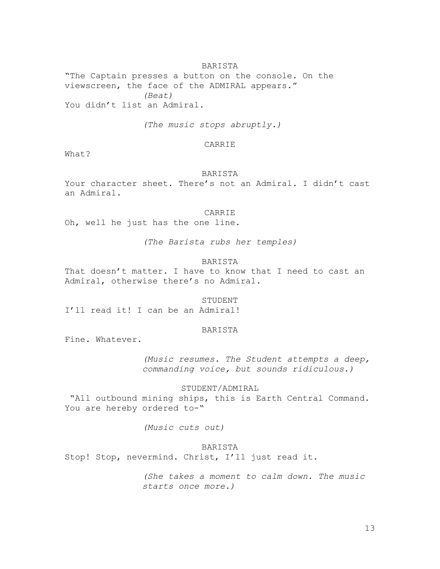### BARISTA

"The Captain presses a button on the console. On the viewscreen, the face of the ADMIRAL appears." *(Beat)* You didn't list an Admiral.

*(The music stops abruptly.)*

## CARRIE

What?

## BARISTA

Your character sheet. There's not an Admiral. I didn't cast an Admiral.

### CARRIE

Oh, well he just has the one line.

*(The Barista rubs her temples)*

# BARISTA

That doesn't matter. I have to know that I need to cast an Admiral, otherwise there's no Admiral.

## STUDENT

I'll read it! I can be an Admiral!

#### BARISTA

Fine. Whatever.

*(Music resumes. The Student attempts a deep, commanding voice, but sounds ridiculous.)*

## STUDENT/ADMIRAL

"All outbound mining ships, this is Earth Central Command. You are hereby ordered to-"

*(Music cuts out)*

# BARISTA

Stop! Stop, nevermind. Christ, I'll just read it.

*(She takes a moment to calm down. The music starts once more.)*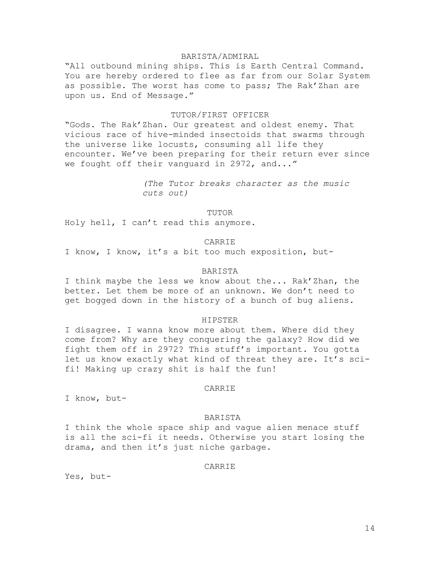# BARISTA/ADMIRAL

"All outbound mining ships. This is Earth Central Command. You are hereby ordered to flee as far from our Solar System as possible. The worst has come to pass; The Rak'Zhan are upon us. End of Message."

# TUTOR/FIRST OFFICER

"Gods. The Rak'Zhan. Our greatest and oldest enemy. That vicious race of hive-minded insectoids that swarms through the universe like locusts, consuming all life they encounter. We've been preparing for their return ever since we fought off their vanguard in 2972, and..."

> *(The Tutor breaks character as the music cuts out)*

> > TUTOR

Holy hell, I can't read this anymore.

### CARRIE

I know, I know, it's a bit too much exposition, but-

### BARISTA

I think maybe the less we know about the... Rak'Zhan, the better. Let them be more of an unknown. We don't need to get bogged down in the history of a bunch of bug aliens.

#### HIPSTER

I disagree. I wanna know more about them. Where did they come from? Why are they conquering the galaxy? How did we fight them off in 2972? This stuff's important. You gotta let us know exactly what kind of threat they are. It's scifi! Making up crazy shit is half the fun!

#### CARRIE

I know, but-

## BARISTA

I think the whole space ship and vague alien menace stuff is all the sci-fi it needs. Otherwise you start losing the drama, and then it's just niche garbage.

# CARRIE

Yes, but-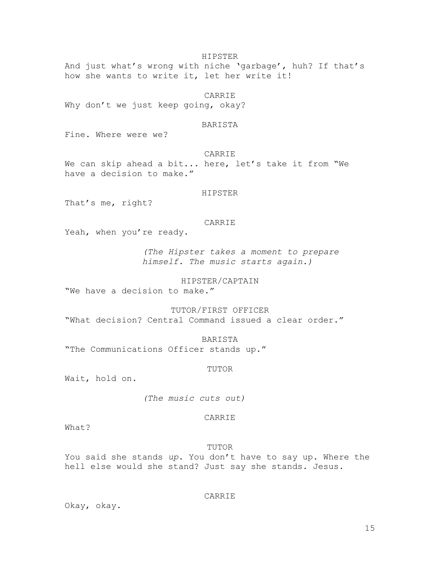HIPSTER

And just what's wrong with niche 'garbage', huh? If that's how she wants to write it, let her write it!

CARRIE

Why don't we just keep going, okay?

### BARISTA

Fine. Where were we?

CARRIE

We can skip ahead a bit... here, let's take it from "We have a decision to make."

HIPSTER

That's me, right?

### CARRIE

Yeah, when you're ready.

*(The Hipster takes a moment to prepare himself. The music starts again.)*

HIPSTER/CAPTAIN

"We have a decision to make."

TUTOR/FIRST OFFICER "What decision? Central Command issued a clear order."

BARISTA "The Communications Officer stands up."

TUTOR

Wait, hold on.

*(The music cuts out)*

## CARRIE

What?

TUTOR

You said she stands *up*. You don't have to say up. Where the hell else would she stand? Just say she stands. Jesus.

CARRIE

Okay, okay.

15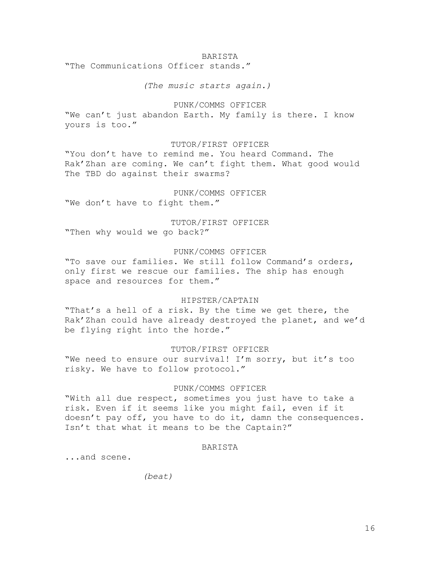### BARISTA

"The Communications Officer stands."

## *(The music starts again.)*

## PUNK/COMMS OFFICER

"We can't just abandon Earth. My family is there. I know yours is too."

## TUTOR/FIRST OFFICER

"You don't have to remind me. You heard Command. The Rak'Zhan are coming. We can't fight them. What good would The TBD do against their swarms?

# PUNK/COMMS OFFICER "We don't have to fight them."

# TUTOR/FIRST OFFICER

"Then why would we go back?"

## PUNK/COMMS OFFICER

"To save our families. We still follow Command's orders, only first we rescue our families. The ship has enough space and resources for them."

## HIPSTER/CAPTAIN

"That's a hell of a risk. By the time we get there, the Rak'Zhan could have already destroyed the planet, and we'd be flying right into the horde."

### TUTOR/FIRST OFFICER

"We need to ensure our survival! I'm sorry, but it's too risky. We have to follow protocol."

## PUNK/COMMS OFFICER

"With all due respect, sometimes you just have to take a risk. Even if it seems like you might fail, even if it doesn't pay off, you have to do it, damn the consequences. Isn't that what it means to be the Captain?"

## BARISTA

...and scene.

*(beat)*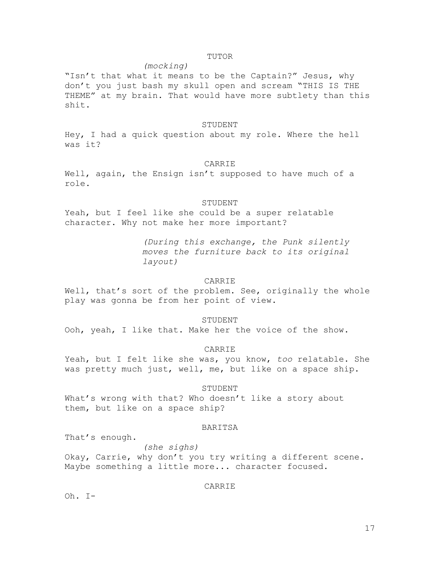## TUTOR

## *(mocking)*

"Isn't that what it means to be the Captain?" Jesus, why don't you just bash my skull open and scream "THIS IS THE THEME" at my brain. That would have more subtlety than this shit.

### STUDENT

Hey, I had a quick question about my role. Where the hell was it?

## CARRIE

Well, again, the Ensign isn't supposed to have much of a role.

## STUDENT

Yeah, but I feel like she could be a super relatable character. Why not make her more important?

> *(During this exchange, the Punk silently moves the furniture back to its original layout)*

## CARRIE

Well, that's sort of the problem. See, originally the whole play was gonna be from her point of view.

#### STUDENT

Ooh, yeah, I like that. Make her the voice of the show.

## CARRIE

Yeah, but I felt like she was, you know, *too* relatable. She was pretty much just, well, me, but like on a space ship.

#### STUDENT

What's wrong with that? Who doesn't like a story about them, but like on a space ship?

## BARITSA

That's enough.

*(she sighs)* Okay, Carrie, why don't you try writing a different scene. Maybe something a little more... character focused.

# CARRIE

Oh. I-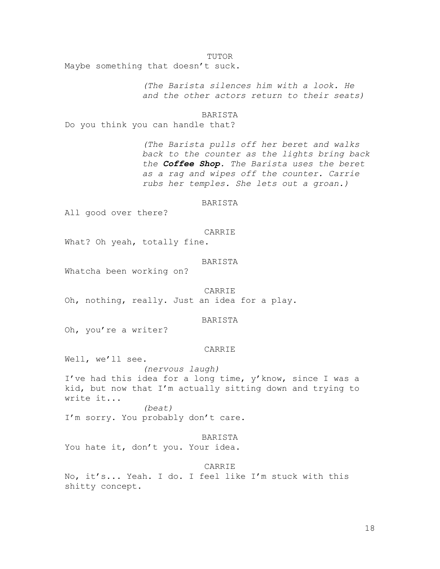#### TUTOR

Maybe something that doesn't suck.

*(The Barista silences him with a look. He and the other actors return to their seats)*

#### BARISTA

Do you think you can handle that?

*(The Barista pulls off her beret and walks back to the counter as the lights bring back the Coffee Shop. The Barista uses the beret as a rag and wipes off the counter. Carrie rubs her temples. She lets out a groan.)*

## BARISTA

All good over there?

#### CARRIE

What? Oh yeah, totally fine.

## BARISTA

Whatcha been working on?

### **CARRIE**

Oh, nothing, really. Just an idea for a play.

# BARISTA

Oh, you're a writer?

#### CARRIE

Well, we'll see.

*(nervous laugh)* I've had this idea for a long time, y'know, since I was a kid, but now that I'm actually sitting down and trying to write it... *(beat)*

I'm sorry. You probably don't care.

#### BARISTA

You hate it, don't you. Your idea.

# CARRIE

No, it's... Yeah. I do. I feel like I'm stuck with this shitty concept.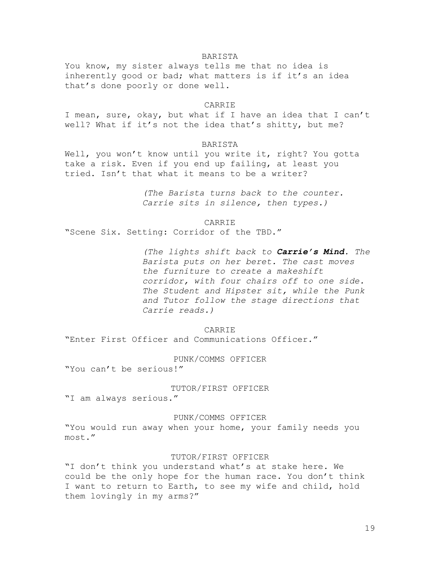## BARISTA

You know, my sister always tells me that no idea is inherently good or bad; what matters is if it's an idea that's done poorly or done well.

### CARRIE

I mean, sure, okay, but what if I have an idea that I can't well? What if it's not the idea that's shitty, but me?

## BARISTA

Well, you won't know until you write it, right? You gotta take a risk. Even if you end up failing, at least you tried. Isn't that what it means to be a writer?

> *(The Barista turns back to the counter. Carrie sits in silence, then types.)*

> > CARRIE

"Scene Six. Setting: Corridor of the TBD."

*(The lights shift back to Carrie's Mind. The Barista puts on her beret. The cast moves the furniture to create a makeshift corridor, with four chairs off to one side. The Student and Hipster sit, while the Punk and Tutor follow the stage directions that Carrie reads.)*

#### CARRIE

"Enter First Officer and Communications Officer."

## PUNK/COMMS OFFICER

"You can't be serious!"

#### TUTOR/FIRST OFFICER

"I am always serious."

PUNK/COMMS OFFICER

"You would run away when your home, your family needs you most."

### TUTOR/FIRST OFFICER

"I don't think you understand what's at stake here. We could be the only hope for the human race. You don't think I want to return to Earth, to see my wife and child, hold them lovingly in my arms?"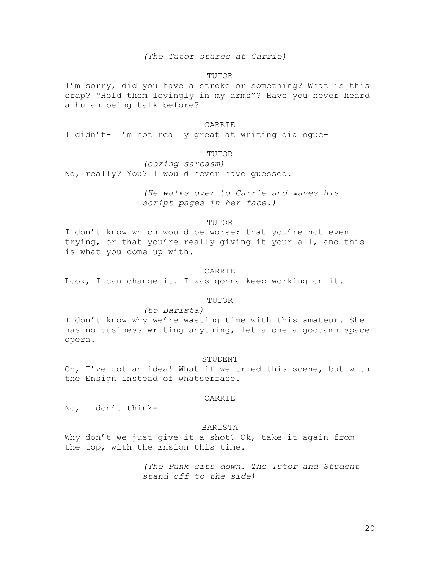## *(The Tutor stares at Carrie)*

## TUTOR

I'm sorry, did you have a stroke or something? What is this crap? "Hold them lovingly in my arms"? Have you never heard a human being talk before?

#### CARRIE

I didn't- I'm not really great at writing dialogue-

# TUTOR

*(oozing sarcasm)* No, really? You? I would never have guessed.

> *(He walks over to Carrie and waves his script pages in her face.)*

> > TUTOR

I don't know which would be worse; that you're not even trying, or that you're really giving it your all, and this is what you come up with.

#### CARRIE

Look, I can change it. I was gonna keep working on it.

# TUTOR

#### *(to Barista)*

I don't know why we're wasting time with this amateur. She has no business writing anything, let alone a goddamn space opera.

### STUDENT

Oh, I've got an idea! What if we tried this scene, but with the Ensign instead of whatserface.

## CARRIE

No, I don't think-

## BARISTA

Why don't we just give it a shot? Ok, take it again from the top, with the Ensign this time.

> *(The Punk sits down. The Tutor and Student stand off to the side)*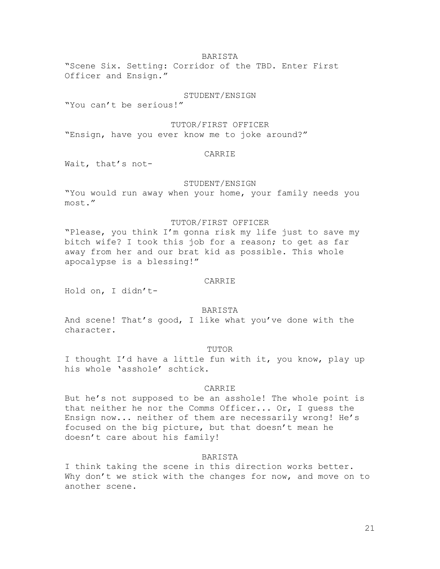# BARISTA

"Scene Six. Setting: Corridor of the TBD. Enter First Officer and Ensign."

# STUDENT/ENSIGN

"You can't be serious!"

## TUTOR/FIRST OFFICER

"Ensign, have you ever know me to joke around?"

# CARRIE

Wait, that's not-

## STUDENT/ENSIGN

"You would run away when your home, your family needs you most."

## TUTOR/FIRST OFFICER

"Please, you think I'm gonna risk my life just to save my bitch wife? I took this job for a reason; to get as far away from her and our brat kid as possible. This whole apocalypse is a blessing!"

## CARRIE

Hold on, I didn't-

## BARISTA

And scene! That's good, I like what you've done with the character.

#### TUTOR

I thought I'd have a little fun with it, you know, play up his whole 'asshole' schtick.

#### CARRIE

But he's not supposed to be an asshole! The whole point is that neither he nor the Comms Officer... Or, I guess the Ensign now... neither of them are necessarily wrong! He's focused on the big picture, but that doesn't mean he doesn't care about his family!

### BARISTA

I think taking the scene in this direction works better. Why don't we stick with the changes for now, and move on to another scene.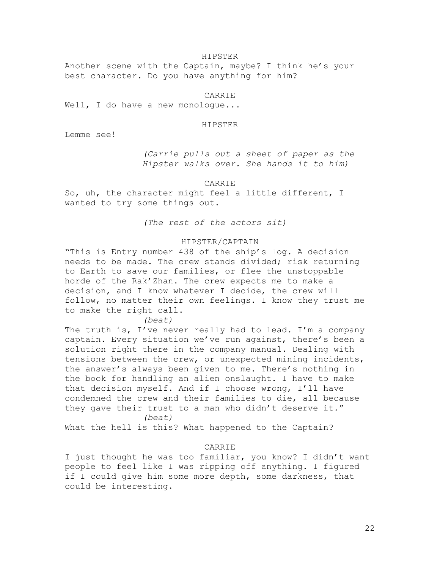#### HIPSTER

Another scene with the Captain, maybe? I think he's your best character. Do you have anything for him?

# CARRIE

Well, I do have a new monologue...

#### HIPSTER

Lemme see!

*(Carrie pulls out a sheet of paper as the Hipster walks over. She hands it to him)*

### CARRIE

So, uh, the character might feel a little different, I wanted to try some things out.

*(The rest of the actors sit)*

# HIPSTER/CAPTAIN

"This is Entry number 438 of the ship's log. A decision needs to be made. The crew stands divided; risk returning to Earth to save our families, or flee the unstoppable horde of the Rak'Zhan. The crew expects me to make a decision, and I know whatever I decide, the crew will follow, no matter their own feelings. I know they trust me to make the right call.

#### *(beat)*

The truth is, I've never really had to lead. I'm a company captain. Every situation we've run against, there's been a solution right there in the company manual. Dealing with tensions between the crew, or unexpected mining incidents, the answer's always been given to me. There's nothing in the book for handling an alien onslaught. I have to make that decision myself. And if I choose wrong, I'll have condemned the crew and their families to die, all because they gave their trust to a man who didn't deserve it." *(beat)*

What the hell is this? What happened to the Captain?

# CARRIE

I just thought he was too familiar, you know? I didn't want people to feel like I was ripping off anything. I figured if I could give him some more depth, some darkness, that could be interesting.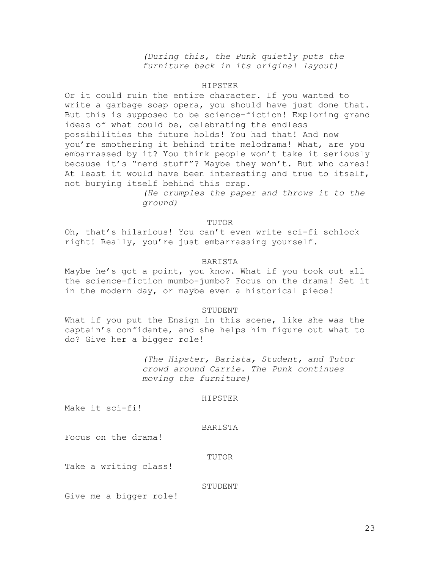*(During this, the Punk quietly puts the furniture back in its original layout)*

#### HIPSTER

Or it could ruin the entire character. If you wanted to write a garbage soap opera, you should have just done that. But this is supposed to be science-fiction! Exploring grand ideas of what could be, celebrating the endless possibilities the future holds! You had that! And now you're smothering it behind trite melodrama! What, are you embarrassed by it? You think people won't take it seriously because it's "nerd stuff"? Maybe they won't. But who cares! At least it would have been interesting and true to itself, not burying itself behind this crap.

> *(He crumples the paper and throws it to the ground)*

### TUTOR

Oh, that's hilarious! You can't even write sci-fi schlock right! Really, you're just embarrassing yourself.

## BARISTA

Maybe he's got a point, you know. What if you took out all the science-fiction mumbo-jumbo? Focus on the drama! Set it in the modern day, or maybe even a historical piece!

## STUDENT

What if you put the Ensign in this scene, like she was the captain's confidante, and she helps him figure out what to do? Give her a bigger role!

> *(The Hipster, Barista, Student, and Tutor crowd around Carrie. The Punk continues moving the furniture)*

## HIPSTER

Make it sci-fi!

## BARISTA

Focus on the drama!

#### TUTOR

Take a writing class!

## STUDENT

Give me a bigger role!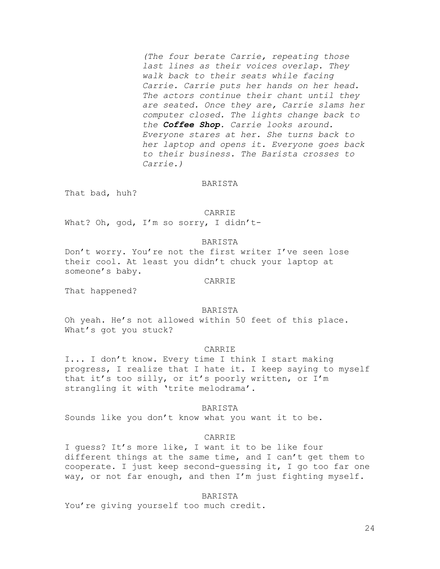*(The four berate Carrie, repeating those last lines as their voices overlap. They walk back to their seats while facing Carrie. Carrie puts her hands on her head. The actors continue their chant until they are seated. Once they are, Carrie slams her computer closed. The lights change back to the Coffee Shop. Carrie looks around. Everyone stares at her. She turns back to her laptop and opens it. Everyone goes back to their business. The Barista crosses to Carrie.)*

#### BARISTA

That bad, huh?

CARRIE

What? Oh, god, I'm so sorry, I didn't-

## BARISTA

Don't worry. You're not the first writer I've seen lose their cool. At least you didn't chuck your laptop at someone's baby.

CARRIE

That happened?

# BARISTA

Oh yeah. He's not allowed within 50 feet of this place. What's got you stuck?

### CARRIE

I... I don't know. Every time I think I start making progress, I realize that I hate it. I keep saying to myself that it's too silly, or it's poorly written, or I'm strangling it with 'trite melodrama'.

## BARISTA

Sounds like you don't know what you want it to be.

## CARRIE

I guess? It's more like, I want it to be like four different things at the same time, and I can't get them to cooperate. I just keep second-guessing it, I go too far one way, or not far enough, and then I'm just fighting myself.

#### BARISTA

You're giving yourself too much credit.

24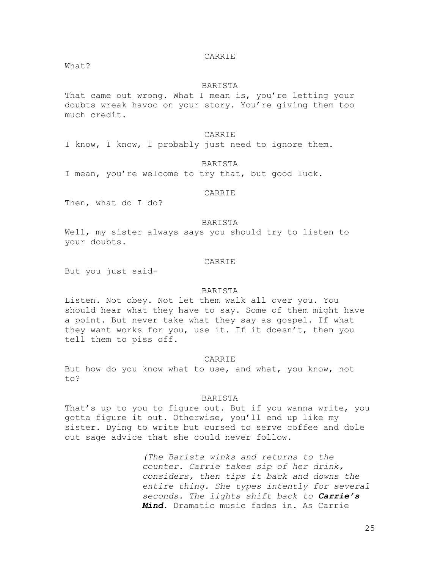## CARRIE

What?

#### BARISTA

That came out wrong. What I mean is, you're letting your doubts wreak havoc on your story. You're giving them too much credit.

## CARRIE

I know, I know, I probably just need to ignore them.

### BARISTA

I mean, you're welcome to try that, but good luck.

## CARRIE

Then, what do I do?

## BARISTA

Well, my sister always says you should try to listen to your doubts.

# CARRIE

But you just said-

#### BARISTA

Listen. Not obey. Not let them walk all over you. You should hear what they have to say. Some of them might have a point. But never take what they say as gospel. If what they want works for you, use it. If it doesn't, then you tell them to piss off.

## CARRIE

But how do you know what to use, and what, you know, not to?

## BARISTA

That's up to you to figure out. But if you wanna write, you gotta figure it out. Otherwise, you'll end up like my sister. Dying to write but cursed to serve coffee and dole out sage advice that she could never follow.

> *(The Barista winks and returns to the counter. Carrie takes sip of her drink, considers, then tips it back and downs the entire thing. She types intently for several seconds. The lights shift back to Carrie's Mind.* Dramatic music fades in. As Carrie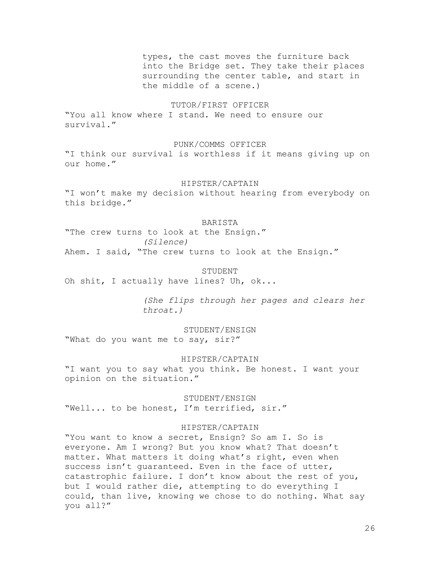types, the cast moves the furniture back into the Bridge set. They take their places surrounding the center table, and start in the middle of a scene.)

# TUTOR/FIRST OFFICER

"You all know where I stand. We need to ensure our survival."

## PUNK/COMMS OFFICER

"I think our survival is worthless if it means giving up on our home."

#### HIPSTER/CAPTAIN

"I won't make my decision without hearing from everybody on this bridge."

## BARISTA

"The crew turns to look at the Ensign." *(Silence)* Ahem. I said, "The crew turns to look at the Ensign."

## STUDENT

Oh shit, I actually have lines? Uh, ok...

*(She flips through her pages and clears her throat.)*

STUDENT/ENSIGN "What do you want me to say, sir?"

### HIPSTER/CAPTAIN

"I want you to say what you think. Be honest. I want your opinion on the situation."

STUDENT/ENSIGN "Well... to be honest, I'm terrified, sir."

# HIPSTER/CAPTAIN

"You want to know a secret, Ensign? So am I. So is everyone. Am I wrong? But you know what? That doesn't matter. What matters it doing what's right, even when success isn't guaranteed. Even in the face of utter, catastrophic failure. I don't know about the rest of you, but I would rather die, attempting to do everything I could, than live, knowing we chose to do nothing. What say you all?"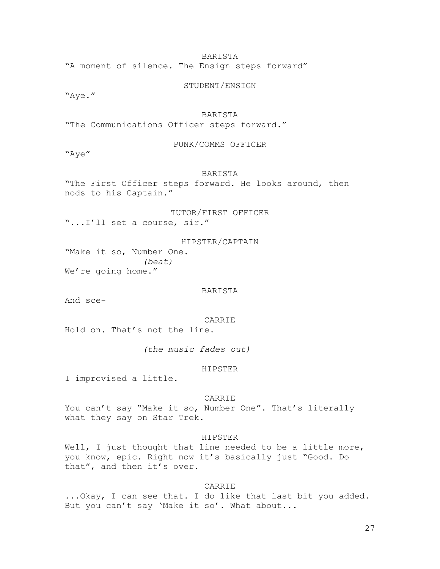BARISTA

"A moment of silence. The Ensign steps forward"

STUDENT/ENSIGN

"Aye."

# BARISTA

"The Communications Officer steps forward."

### PUNK/COMMS OFFICER

"Aye"

# BARISTA

"The First Officer steps forward. He looks around, then nods to his Captain."

TUTOR/FIRST OFFICER "...I'll set a course, sir."

HIPSTER/CAPTAIN "Make it so, Number One. *(beat)* We're going home."

## BARISTA

And sce-

CARRIE

Hold on. That's not the line.

*(the music fades out)*

#### HIPSTER

I improvised a little.

## CARRIE

You can't say "Make it so, Number One". That's literally what they say on Star Trek.

#### HIPSTER

Well, I just thought that line needed to be a little more, you know, epic. Right now it's basically just "Good. Do that", and then it's over.

# CARRIE

...Okay, I can see that. I do like that last bit you added. But you can't say 'Make it so'. What about...

27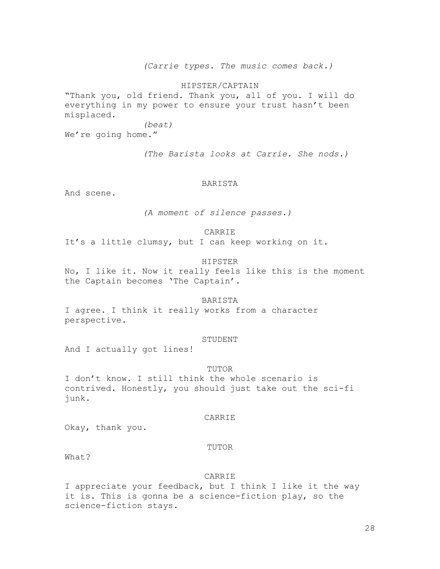*(Carrie types. The music comes back.)*

HIPSTER/CAPTAIN

"Thank you, old friend. Thank you, all of you. I will do everything in my power to ensure your trust hasn't been misplaced.

*(beat)*

We're going home."

*(The Barista looks at Carrie. She nods.)*

#### BARISTA

And scene.

*(A moment of silence passes.)*

## CARRIE

It's a little clumsy, but I can keep working on it.

# HIPSTER

No, I like it. Now it really feels like this is the moment the Captain becomes 'The Captain'.

## BARISTA

I agree. I think it really works from a character perspective.

## STUDENT

And I actually got lines!

### TUTOR

I don't know. I still think the whole scenario is contrived. Honestly, you should just take out the sci-fi junk.

#### CARRIE

Okay, thank you.

#### TUTOR

What?

## **CARRIE**

I appreciate your feedback, but I think I like it the way it is. This is gonna be a science-fiction play, so the science-fiction stays.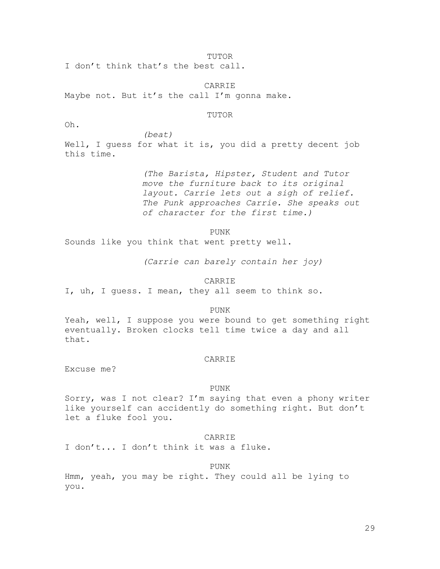TUTOR

I don't think that's the best call.

CARRIE Maybe not. But it's the call I'm gonna make.

### TUTOR

Oh.

*(beat)* Well, I guess for what it is, you did a pretty decent job this time.

> *(The Barista, Hipster, Student and Tutor move the furniture back to its original layout. Carrie lets out a sigh of relief. The Punk approaches Carrie. She speaks out of character for the first time.)*

> > PUNK

Sounds like you think that went pretty well.

*(Carrie can barely contain her joy)*

CARRIE

I, uh, I guess. I mean, they all seem to think so.

PUNK

Yeah, well, I suppose you were bound to get something right eventually. Broken clocks tell time twice a day and all that.

### CARRIE

Excuse me?

#### PUNK

Sorry, was I not clear? I'm saying that even a phony writer like yourself can accidently do something right. But don't let a fluke fool you.

### CARRIE

I don't... I don't think it was a fluke.

PUNK

Hmm, yeah, you may be right. They could all be lying to you.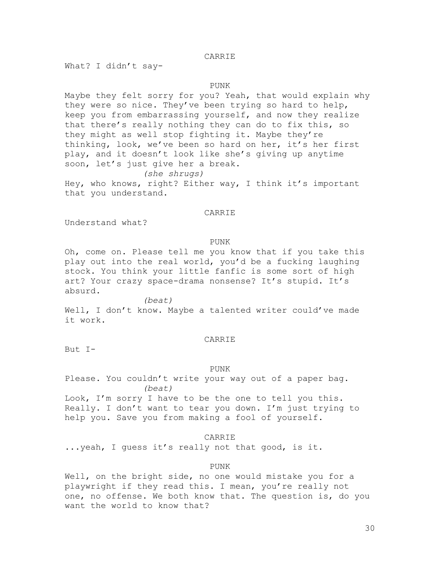# CARRIE

What? I didn't say-

### PUNK

Maybe they felt sorry for you? Yeah, that would explain why they were so nice. They've been trying so hard to help, keep you from embarrassing yourself, and now they realize that there's really nothing they can do to fix this, so they might as well stop fighting it. Maybe they're thinking, look, we've been so hard on her, it's her first play, and it doesn't look like she's giving up anytime soon, let's just give her a break. *(she shrugs)*

Hey, who knows, right? Either way, I think it's important that you understand.

## CARRIE

Understand what?

#### PUNK

Oh, come on. Please tell me you know that if you take this play out into the real world, you'd be a fucking laughing stock. You think your little fanfic is some sort of high art? Your crazy space-drama nonsense? It's stupid. It's absurd.

*(beat)* Well, I don't know. Maybe a talented writer could've made it work.

## CARRIE

But I-

#### PUNK

Please. You couldn't write your way out of a paper bag. *(beat)*

Look, I'm sorry I have to be the one to tell you this. Really. I don't want to tear you down. I'm just trying to help you. Save you from making a fool of yourself.

## CARRIE

...yeah, I guess it's really not that good, is it.

## PUNK

Well, on the bright side, no one would mistake you for a playwright if they read this. I mean, you're really not one, no offense. We both know that. The question is, do you want the world to know that?

30